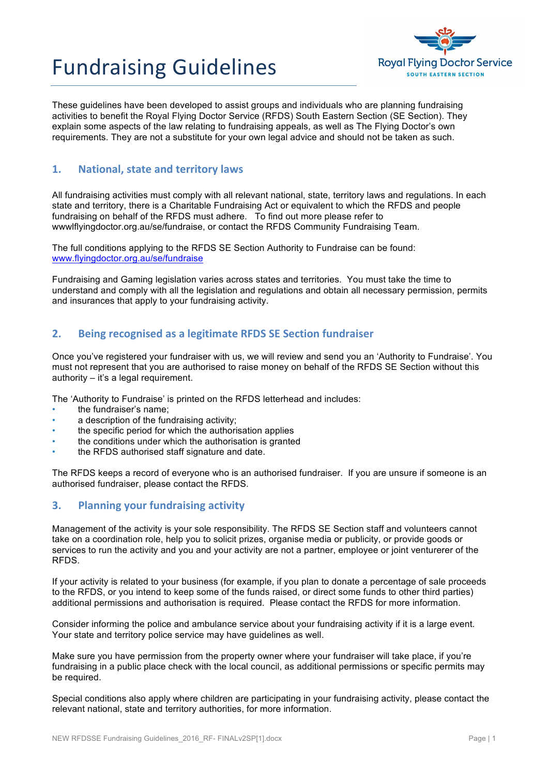# **Fundraising Guidelines**



These guidelines have been developed to assist groups and individuals who are planning fundraising activities to benefit the Royal Flying Doctor Service (RFDS) South Eastern Section (SE Section). They explain some aspects of the law relating to fundraising appeals, as well as The Flying Doctor's own requirements. They are not a substitute for your own legal advice and should not be taken as such.

# **1. National, state and territory laws**

All fundraising activities must comply with all relevant national, state, territory laws and regulations. In each state and territory, there is a Charitable Fundraising Act or equivalent to which the RFDS and people fundraising on behalf of the RFDS must adhere. To find out more please refer to wwwlflyingdoctor.org.au/se/fundraise, or contact the RFDS Community Fundraising Team.

The full conditions applying to the RFDS SE Section Authority to Fundraise can be found: www.flyingdoctor.org.au/se/fundraise

Fundraising and Gaming legislation varies across states and territories. You must take the time to understand and comply with all the legislation and regulations and obtain all necessary permission, permits and insurances that apply to your fundraising activity.

# **2. Being recognised as a legitimate RFDS SE Section fundraiser**

Once you've registered your fundraiser with us, we will review and send you an 'Authority to Fundraise'. You must not represent that you are authorised to raise money on behalf of the RFDS SE Section without this authority – it's a legal requirement.

The 'Authority to Fundraise' is printed on the RFDS letterhead and includes:

- the fundraiser's name;
- a description of the fundraising activity;
- the specific period for which the authorisation applies
- the conditions under which the authorisation is granted
- the RFDS authorised staff signature and date.

The RFDS keeps a record of everyone who is an authorised fundraiser. If you are unsure if someone is an authorised fundraiser, please contact the RFDS.

### **3.** Planning your fundraising activity

Management of the activity is your sole responsibility. The RFDS SE Section staff and volunteers cannot take on a coordination role, help you to solicit prizes, organise media or publicity, or provide goods or services to run the activity and you and your activity are not a partner, employee or joint venturerer of the RFDS.

If your activity is related to your business (for example, if you plan to donate a percentage of sale proceeds to the RFDS, or you intend to keep some of the funds raised, or direct some funds to other third parties) additional permissions and authorisation is required. Please contact the RFDS for more information.

Consider informing the police and ambulance service about your fundraising activity if it is a large event. Your state and territory police service may have guidelines as well.

Make sure you have permission from the property owner where your fundraiser will take place, if you're fundraising in a public place check with the local council, as additional permissions or specific permits may be required.

Special conditions also apply where children are participating in your fundraising activity, please contact the relevant national, state and territory authorities, for more information.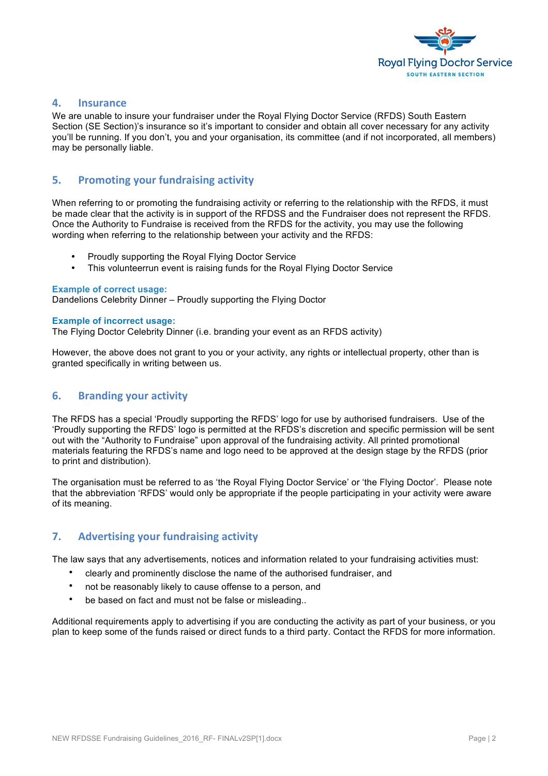

#### **4. Insurance**

We are unable to insure your fundraiser under the Royal Flying Doctor Service (RFDS) South Eastern Section (SE Section)'s insurance so it's important to consider and obtain all cover necessary for any activity you'll be running. If you don't, you and your organisation, its committee (and if not incorporated, all members) may be personally liable.

#### **5.** Promoting your fundraising activity

When referring to or promoting the fundraising activity or referring to the relationship with the RFDS, it must be made clear that the activity is in support of the RFDSS and the Fundraiser does not represent the RFDS. Once the Authority to Fundraise is received from the RFDS for the activity, you may use the following wording when referring to the relationship between your activity and the RFDS:

- Proudly supporting the Royal Flying Doctor Service
- This volunteerrun event is raising funds for the Royal Flying Doctor Service

#### **Example of correct usage:**

Dandelions Celebrity Dinner – Proudly supporting the Flying Doctor

#### **Example of incorrect usage:**

The Flying Doctor Celebrity Dinner (i.e. branding your event as an RFDS activity)

However, the above does not grant to you or your activity, any rights or intellectual property, other than is granted specifically in writing between us.

#### **6. Branding your activity**

The RFDS has a special 'Proudly supporting the RFDS' logo for use by authorised fundraisers. Use of the 'Proudly supporting the RFDS' logo is permitted at the RFDS's discretion and specific permission will be sent out with the "Authority to Fundraise" upon approval of the fundraising activity. All printed promotional materials featuring the RFDS's name and logo need to be approved at the design stage by the RFDS (prior to print and distribution).

The organisation must be referred to as 'the Royal Flying Doctor Service' or 'the Flying Doctor'. Please note that the abbreviation 'RFDS' would only be appropriate if the people participating in your activity were aware of its meaning.

### **7.** Advertising your fundraising activity

The law says that any advertisements, notices and information related to your fundraising activities must:

- clearly and prominently disclose the name of the authorised fundraiser, and
- not be reasonably likely to cause offense to a person, and
- be based on fact and must not be false or misleading..

Additional requirements apply to advertising if you are conducting the activity as part of your business, or you plan to keep some of the funds raised or direct funds to a third party. Contact the RFDS for more information.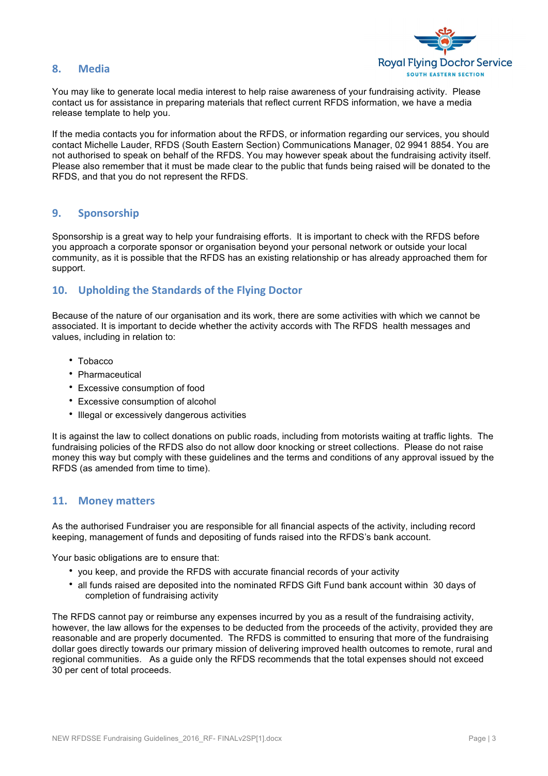#### **8. Media**



You may like to generate local media interest to help raise awareness of your fundraising activity. Please contact us for assistance in preparing materials that reflect current RFDS information, we have a media release template to help you.

If the media contacts you for information about the RFDS, or information regarding our services, you should contact Michelle Lauder, RFDS (South Eastern Section) Communications Manager, 02 9941 8854. You are not authorised to speak on behalf of the RFDS. You may however speak about the fundraising activity itself. Please also remember that it must be made clear to the public that funds being raised will be donated to the RFDS, and that you do not represent the RFDS.

#### **9. Sponsorship**

Sponsorship is a great way to help your fundraising efforts. It is important to check with the RFDS before you approach a corporate sponsor or organisation beyond your personal network or outside your local community, as it is possible that the RFDS has an existing relationship or has already approached them for support.

### 10. Upholding the Standards of the Flying Doctor

Because of the nature of our organisation and its work, there are some activities with which we cannot be associated. It is important to decide whether the activity accords with The RFDS health messages and values, including in relation to:

- Tobacco
- Pharmaceutical
- Excessive consumption of food
- Excessive consumption of alcohol
- Illegal or excessively dangerous activities

It is against the law to collect donations on public roads, including from motorists waiting at traffic lights. The fundraising policies of the RFDS also do not allow door knocking or street collections. Please do not raise money this way but comply with these guidelines and the terms and conditions of any approval issued by the RFDS (as amended from time to time).

#### **11. Money matters**

As the authorised Fundraiser you are responsible for all financial aspects of the activity, including record keeping, management of funds and depositing of funds raised into the RFDS's bank account.

Your basic obligations are to ensure that:

- you keep, and provide the RFDS with accurate financial records of your activity
- all funds raised are deposited into the nominated RFDS Gift Fund bank account within 30 days of completion of fundraising activity

The RFDS cannot pay or reimburse any expenses incurred by you as a result of the fundraising activity, however, the law allows for the expenses to be deducted from the proceeds of the activity, provided they are reasonable and are properly documented. The RFDS is committed to ensuring that more of the fundraising dollar goes directly towards our primary mission of delivering improved health outcomes to remote, rural and regional communities. As a guide only the RFDS recommends that the total expenses should not exceed 30 per cent of total proceeds.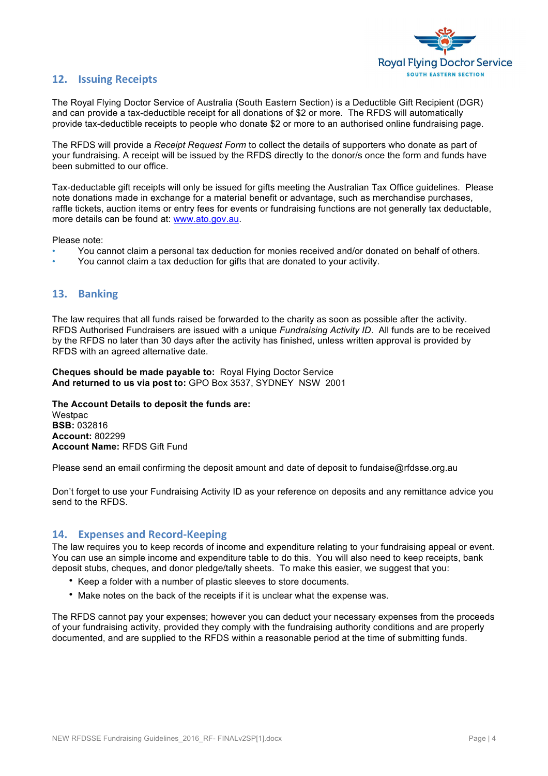

# **12. Issuing Receipts**

The Royal Flying Doctor Service of Australia (South Eastern Section) is a Deductible Gift Recipient (DGR) and can provide a tax-deductible receipt for all donations of \$2 or more. The RFDS will automatically provide tax-deductible receipts to people who donate \$2 or more to an authorised online fundraising page.

The RFDS will provide a *Receipt Request Form* to collect the details of supporters who donate as part of your fundraising. A receipt will be issued by the RFDS directly to the donor/s once the form and funds have been submitted to our office.

Tax-deductable gift receipts will only be issued for gifts meeting the Australian Tax Office guidelines. Please note donations made in exchange for a material benefit or advantage, such as merchandise purchases, raffle tickets, auction items or entry fees for events or fundraising functions are not generally tax deductable, more details can be found at: www.ato.gov.au.

Please note:

- You cannot claim a personal tax deduction for monies received and/or donated on behalf of others.
- You cannot claim a tax deduction for gifts that are donated to your activity.

# **13. Banking**

The law requires that all funds raised be forwarded to the charity as soon as possible after the activity. RFDS Authorised Fundraisers are issued with a unique *Fundraising Activity ID*. All funds are to be received by the RFDS no later than 30 days after the activity has finished, unless written approval is provided by RFDS with an agreed alternative date.

**Cheques should be made payable to:** Royal Flying Doctor Service **And returned to us via post to:** GPO Box 3537, SYDNEY NSW 2001

**The Account Details to deposit the funds are: Westpac BSB:** 032816 **Account:** 802299 **Account Name:** RFDS Gift Fund

Please send an email confirming the deposit amount and date of deposit to fundaise@rfdsse.org.au

Don't forget to use your Fundraising Activity ID as your reference on deposits and any remittance advice you send to the RFDS.

### **14. Expenses and Record-Keeping**

The law requires you to keep records of income and expenditure relating to your fundraising appeal or event. You can use an simple income and expenditure table to do this. You will also need to keep receipts, bank deposit stubs, cheques, and donor pledge/tally sheets. To make this easier, we suggest that you:

- Keep a folder with a number of plastic sleeves to store documents.
- Make notes on the back of the receipts if it is unclear what the expense was.

The RFDS cannot pay your expenses; however you can deduct your necessary expenses from the proceeds of your fundraising activity, provided they comply with the fundraising authority conditions and are properly documented, and are supplied to the RFDS within a reasonable period at the time of submitting funds.